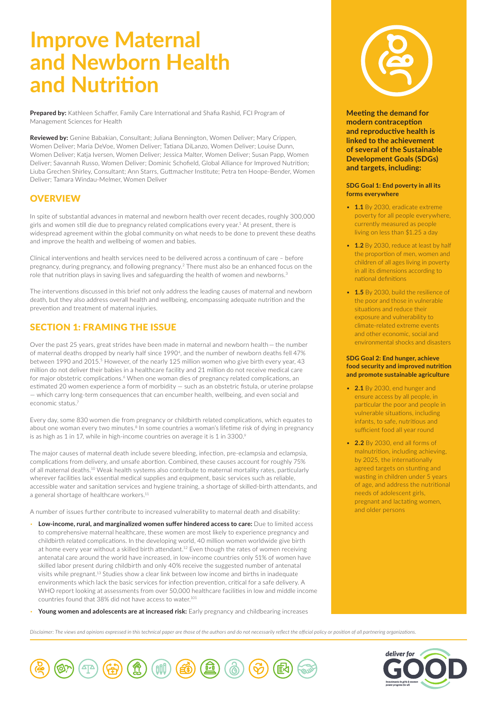# **Improve Maternal and Newborn Health and Nutrition**

**Prepared by:** Kathleen Schaffer, Family Care International and Shafia Rashid, FCI Program of Management Sciences for Health

**Reviewed by:** Genine Babakian, Consultant; Juliana Bennington, Women Deliver; Mary Crippen, Women Deliver; Maria DeVoe, Women Deliver; Tatiana DiLanzo, Women Deliver; Louise Dunn, Women Deliver; Katja Iversen, Women Deliver; Jessica Malter, Women Deliver; Susan Papp, Women Deliver; Savannah Russo, Women Deliver; Dominic Schofield, Global Alliance for Improved Nutrition; Liuba Grechen Shirley, Consultant; Ann Starrs, Guttmacher Institute; Petra ten Hoope-Bender, Women Deliver; Tamara Windau-Melmer, Women Deliver

# **OVERVIEW**

In spite of substantial advances in maternal and newborn health over recent decades, roughly 300,000 girls and women still die due to pregnancy related complications every year.1 At present, there is widespread agreement within the global community on what needs to be done to prevent these deaths and improve the health and wellbeing of women and babies.

Clinical interventions and health services need to be delivered across a continuum of care – before pregnancy, during pregnancy, and following pregnancy.2 There must also be an enhanced focus on the role that nutrition plays in saving lives and safeguarding the health of women and newborns.<sup>3</sup>

The interventions discussed in this brief not only address the leading causes of maternal and newborn death, but they also address overall health and wellbeing, encompassing adequate nutrition and the prevention and treatment of maternal injuries.

# SECTION 1: FRAMING THE ISSUE

Over the past 25 years, great strides have been made in maternal and newborn health — the number of maternal deaths dropped by nearly half since 19904, and the number of newborn deaths fell 47% between 1990 and 2015.<sup>5</sup> However, of the nearly 125 million women who give birth every year, 43 million do not deliver their babies in a healthcare facility and 21 million do not receive medical care for major obstetric complications.<sup>6</sup> When one woman dies of pregnancy related complications, an estimated 20 women experience a form of morbidity — such as an obstetric fistula, or uterine prolapse — which carry long-term consequences that can encumber health, wellbeing, and even social and economic status.7

Every day, some 830 women die from pregnancy or childbirth related complications, which equates to about one woman every two minutes.<sup>8</sup> In some countries a woman's lifetime risk of dying in pregnancy is as high as 1 in 17, while in high-income countries on average it is 1 in 3300.9

The major causes of maternal death include severe bleeding, infection, pre-eclampsia and eclampsia, complications from delivery, and unsafe abortion. Combined, these causes account for roughly 75% of all maternal deaths.<sup>10</sup> Weak health systems also contribute to maternal mortality rates, particularly wherever facilities lack essential medical supplies and equipment, basic services such as reliable, accessible water and sanitation services and hygiene training, a shortage of skilled-birth attendants, and a general shortage of healthcare workers.<sup>11</sup>

A number of issues further contribute to increased vulnerability to maternal death and disability:

- **Low-income, rural, and marginalized women suffer hindered access to care:** Due to limited access to comprehensive maternal healthcare, these women are most likely to experience pregnancy and childbirth related complications. In the developing world, 40 million women worldwide give birth at home every year without a skilled birth attendant.12 Even though the rates of women receiving antenatal care around the world have increased, in low-income countries only 51% of women have skilled labor present during childbirth and only 40% receive the suggested number of antenatal visits while pregnant.13 Studies show a clear link between low income and births in inadequate environments which lack the basic services for infection prevention, critical for a safe delivery. A WHO report looking at assessments from over 50,000 healthcare facilities in low and middle income countries found that 38% did not have access to water.101
- **Young women and adolescents are at increased risk:** Early pregnancy and childbearing increases

**Meeting the demand for modern contraception and reproductive health is linked to the achievement of several of the Sustainable Development Goals (SDGs) and targets, including:**

### **SDG Goal 1: End poverty in all its forms everywhere**

- **1.1** By 2030, eradicate extreme poverty for all people everywhere, currently measured as people living on less than \$1.25 a day
- **1.2** By 2030, reduce at least by half the proportion of men, women and children of all ages living in poverty in all its dimensions according to national definitions
- **1.5** By 2030, build the resilience of the poor and those in vulnerable situations and reduce their exposure and vulnerability to climate-related extreme events and other economic, social and environmental shocks and disasters

#### **SDG Goal 2: End hunger, achieve food security and improved nutrition and promote sustainable agriculture**

- **2.1** By 2030, end hunger and ensure access by all people, in particular the poor and people in vulnerable situations, including infants, to safe, nutritious and sufficient food all year round
- **2.2** By 2030, end all forms of malnutrition, including achieving, by 2025, the internationally agreed targets on stunting and wasting in children under 5 years of age, and address the nutritional needs of adolescent girls, pregnant and lactating women, and older persons

*Disclaimer: The views and opinions expressed in this technical paper are those of the authors and do not necessarily reflect the official policy or position of all partnering organizations.*



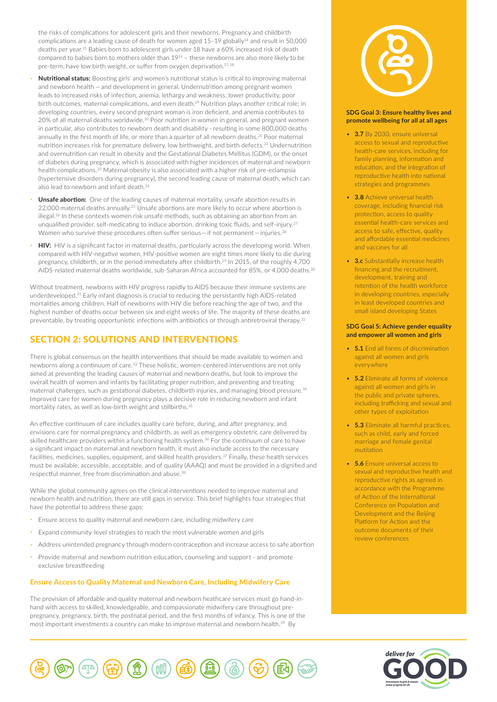the risks of complications for adolescent girls and their newborns. Pregnancy and childbirth complications are a leading cause of death for women aged 15-19 globally<sup>14</sup> and result in 50,000 deaths per year.15 Babies born to adolescent girls under 18 have a 60% increased risk of death compared to babies born to mothers older than 1916 – these newborns are also more likely to be pre-term, have low birth weight, or suffer from oxygen deprivation.<sup>17, 18</sup>

- **Nutritional status:** Boosting girls' and women's nutritional status is critical to improving maternal and newborn health — and development in general. Undernutrition among pregnant women leads to increased risks of infection, anemia, lethargy and weakness, lower productivity, poor birth outcomes, maternal complications, and even death.<sup>19</sup> Nutrition plays another critical role; in developing countries, every second pregnant woman is iron deficient, and anemia contributes to 20% of all maternal deaths worldwide.20 Poor nutrition in women in general, and pregnant women in particular, also contributes to newborn death and disability – resulting in some 800,000 deaths annually in the first month of life, or more than a quarter of all newborn deaths.<sup>21</sup> Poor maternal nutrition increases risk for premature delivery, low birthweight, and birth defects.<sup>22</sup> Undernutrition and overnutrition can result in obesity and the Gestational Diabetes Mellitus (GDM), or the onset of diabetes during pregnancy, which is associated with higher incidences of maternal and newborn health complications.23 Maternal obesity is also associated with a higher risk of pre-eclampsia (hypertensive disorders during pregnancy), the second leading cause of maternal death, which can also lead to newborn and infant death.<sup>24</sup>
- **Unsafe abortion:** One of the leading causes of maternal mortality, unsafe abortion results in 22,000 maternal deaths annually.<sup>25</sup> Unsafe abortions are more likely to occur where abortion is illegal.<sup>26</sup> In these contexts women risk unsafe methods, such as obtaining an abortion from an unqualified provider, self-medicating to induce abortion, drinking toxic fluids, and self-injury.27 Women who survive these procedures often suffer serious - if not permanent - injuries.<sup>28</sup>
- **HIV:** HIV is a significant factor in maternal deaths, particularly across the developing world. When compared with HIV-negative women, HIV-positive women are eight times more likely to die during pregnancy, childbirth, or in the period immediately after childbirth.29 In 2015, of the roughly 4,700 AIDS-related maternal deaths worldwide, sub-Saharan Africa accounted for 85%, or 4,000 deaths.<sup>30</sup>

Without treatment, newborns with HIV progress rapidly to AIDS because their immune systems are underdeveloped.31 Early infant diagnosis is crucial to reducing the persistantly high AIDS-related mortalities among children. Half of newborns with HIV die before reaching the age of two, and the highest number of deaths occur between six and eight weeks of life. The majority of these deaths are preventable, by treating opportunistic infections with antibiotics or through antiretroviral therapy.<sup>32</sup>

# SECTION 2: SOLUTIONS AND INTERVENTIONS

There is global consensus on the health interventions that should be made available to women and newborns along a continuum of care.<sup>33</sup> These holistic, women-centered interventions are not only aimed at preventing the leading causes of maternal and newborn deaths, but look to improve the overall health of women and infants by facilitating proper nutrition, and preventing and treating maternal challenges, such as gestational diabetes, childbirth injuries, and managing blood pressure.34 Improved care for women during pregnancy plays a decisive role in reducing newborn and infant mortality rates, as well as low-birth weight and stillbirths.<sup>35</sup>

An effective continuum of care includes quality care before, during, and after pregnancy, and envisions care for normal pregnancy and childbirth, as well as emergency obstetric care delivered by skilled healthcare providers within a functioning health system.<sup>36</sup> For the continuum of care to have a significant impact on maternal and newborn health, it must also include access to the necessary facilities, medicines, supplies, equipment, and skilled health providers.<sup>37</sup> Finally, these health services must be available, accessible, acceptable, and of quality (AAAQ) and must be provided in a dignified and respectful manner, free from discrimination and abuse.38

While the global community agrees on the clinical interventions needed to improve maternal and newborn health and nutrition, there are still gaps in service. This brief highlights four strategies that have the potential to address these gaps:

- Ensure access to quality maternal and newborn care, including midwifery care
- Expand community-level strategies to reach the most vulnerable women and girls
- Address unintended pregnancy through modern contraception and increase access to safe abortion
- Provide maternal and newborn nutrition education, counseling and support and promote exclusive breastfeeding

#### Ensure Access to Quality Maternal and Newborn Care, Including Midwifery Care

The provision of affordable and quality maternal and newborn heathcare services must go hand-inhand with access to skilled, knowledgeable, and compassionate midwifery care throughout prepregnancy, pregnancy, birth, the postnatal period, and the first months of infancy. This is one of the most important investments a country can make to improve maternal and newborn health.<sup>39</sup> By



#### **SDG Goal 3: Ensure healthy lives and promote wellbeing for all at all ages**

- **3.7** By 2030, ensure universal access to sexual and reproductive health-care services, including for family planning, information and education, and the integration of reproductive health into national strategies and programmes
- **3.8** Achieve universal health coverage, including financial risk protection, access to quality essential health-care services and access to safe, effective, quality and affordable essential medicines and vaccines for all
- **3.c** Substantially increase health financing and the recruitment, development, training and retention of the health workforce in developing countries, especially in least developed countries and small island developing States

#### **SDG Goal 5: Achieve gender equality and empower all women and girls**

- **5.1** End all forms of discrimination against all women and girls everywhere
- **5.2** Eliminate all forms of violence against all women and girls in the public and private spheres, including trafficking and sexual and other types of exploitation
- **5.3** Eliminate all harmful practices, such as child, early and forced marriage and female genital mutilation
- **5.6** Ensure universal access to sexual and reproductive health and reproductive rights as agreed in accordance with the Programme of Action of the International Conference on Population and Development and the Beijing Platform for Action and the outcome documents of their review conferences



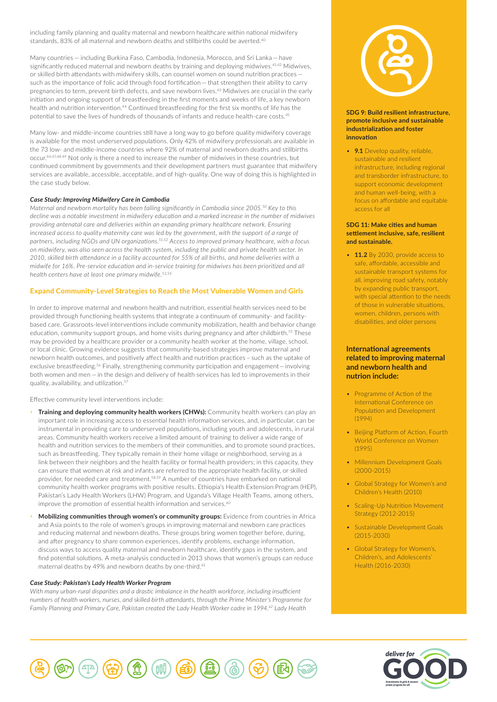including family planning and quality maternal and newborn healthcare within national midwifery standards, 83% of all maternal and newborn deaths and stillbirths could be averted.40

Many countries — including Burkina Faso, Cambodia, Indonesia, Morocco, and Sri Lanka — have significantly reduced maternal and newborn deaths by training and deploying midwives.<sup>41,42</sup> Midwives, or skilled birth attendants with midwifery skills, can counsel women on sound nutrition practices such as the importance of folic acid through food fortification — that strengthen their ability to carry pregnancies to term, prevent birth defects, and save newborn lives.43 Midwives are crucial in the early initiation and ongoing support of breastfeeding in the first moments and weeks of life, a key newborn health and nutrition intervention.44 Continued breastfeeding for the first six months of life has the potential to save the lives of hundreds of thousands of infants and reduce health-care costs.45

Many low- and middle-income countries still have a long way to go before quality midwifery coverage is available for the most underserved populations. Only 42% of midwifery professionals are available in the 73 low- and middle-income countries where 92% of maternal and newborn deaths and stillbirths occur.46,47,48,49 Not only is there a need to increase the number of midwives in these countries, but continued commitment by governments and their development partners must guarantee that midwifery services are available, accessible, acceptable, and of high-quality. One way of doing this is highlighted in the case study below.

#### *Case Study: Improving Midwifery Care in Cambodia*

*Maternal and newborn mortality has been falling significantly in Cambodia since 2005.50 Key to this decline was a notable investment in midwifery education and a marked increase in the number of midwives providing antenatal care and deliveries within an expanding primary healthcare network. Ensuring increased access to quality maternity care was led by the government, with the support of a range of partners, including NGOs and UN organizations.51,52 Access to improved primary healthcare, with a focus on midwifery, was also seen across the health system, including the public and private health sector. In 2010, skilled birth attendance in a facility accounted for 55% of all births, and home deliveries with a midwife for 16%. Pre-service education and in-service training for midwives has been prioritized and all health centers have at least one primary midwife.53,54*

#### Expand Community-Level Strategies to Reach the Most Vulnerable Women and Girls

In order to improve maternal and newborn health and nutrition, essential health services need to be provided through functioning health systems that integrate a continuum of community- and facilitybased care. Grassroots-level interventions include community mobilization, health and behavior change education, community support groups, and home visits during pregnancy and after childbirth.<sup>55</sup> These may be provided by a healthcare provider or a community health worker at the home, village, school, or local clinic. Growing evidence suggests that community-based strategies improve maternal and newborn health outcomes, and positively affect health and nutrition practices – such as the uptake of exclusive breastfeeding.56 Finally, strengthening community participation and engagement—involving both women and men — in the design and delivery of health services has led to improvements in their quality, availability, and utilization.<sup>57</sup>

Effective community level interventions include:

- **Training and deploying community health workers (CHWs):** Community health workers can play an important role in increasing access to essential health information services, and, in particular, can be instrumental in providing care to underserved populations, including youth and adolescents, in rural areas. Community health workers receive a limited amount of training to deliver a wide range of health and nutrition services to the members of their communities, and to promote sound practices, such as breastfeeding. They typically remain in their home village or neighborhood, serving as a link between their neighbors and the health facility or formal health providers; in this capacity, they can ensure that women at risk and infants are referred to the appropriate health facility, or skilled provider, for needed care and treatment.<sup>58,59</sup> A number of countries have embarked on national community health worker programs with positive results. Ethiopia's Health Extension Program (HEP), Pakistan's Lady Health Workers (LHW) Program, and Uganda's Village Health Teams, among others, improve the promotion of essential health information and services.<sup>60</sup>
- **Mobilizing communities through women's or community groups:** Evidence from countries in Africa and Asia points to the role of women's groups in improving maternal and newborn care practices and reducing maternal and newborn deaths. These groups bring women together before, during, and after pregnancy to share common experiences, identify problems, exchange information, discuss ways to access quality maternal and newborn healthcare, identify gaps in the system, and find potential solutions. A meta-analysis conducted in 2013 shows that women's groups can reduce maternal deaths by 49% and newborn deaths by one-third.<sup>61</sup>

#### *Case Study: Pakistan's Lady Health Worker Program*

*With many urban-rural disparities and a drastic imbalance in the health workforce, including insufficient numbers of health workers, nurses, and skilled birth attendants, through the Prime Minister's Programme for Family Planning and Primary Care, Pakistan created the Lady Health Worker cadre in 1994.62 Lady Health* 



#### **SDG 9: Build resilient infrastructure, promote inclusive and sustainable industrialization and foster innovation**

• **9.1** Develop quality, reliable, sustainable and resilient infrastructure, including regional and transborder infrastructure, to support economic development and human well-being, with a focus on affordable and equitable access for all

#### **SDG 11: Make cities and human settlement inclusive, safe, resilient and sustainable.**

• **11.2** By 2030, provide access to safe, affordable, accessible and sustainable transport systems for all, improving road safety, notably by expanding public transport, with special attention to the needs of those in vulnerable situations, women, children, persons with disabilities, and older persons

## **International agreements related to improving maternal and newborn health and nutrion include:**

- Programme of Action of the International Conference on Population and Development (1994)
- Beijing Platform of Action, Fourth World Conference on Women (1995)
- Millennium Development Goals (2000-2015)
- Global Strategy for Women's and Children's Health (2010)
- Scaling-Up Nutrition Movement Strategy (2012-2015)
- Sustainable Development Goals (2015-2030)
- Global Strategy for Women's, Children's, and Adolescents' Health (2016-2030)



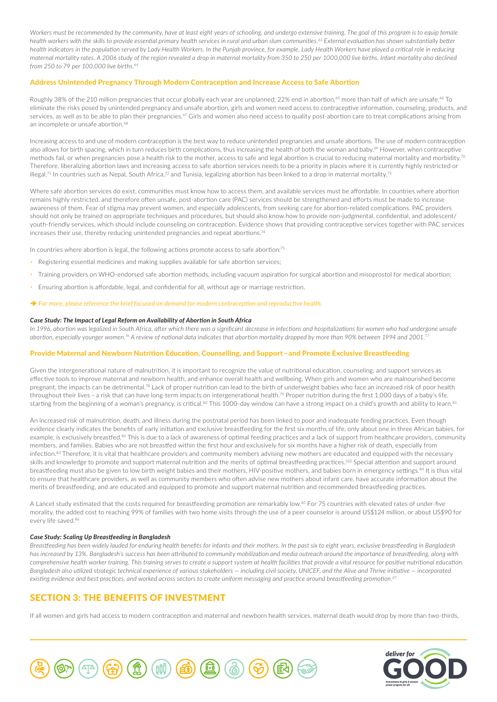Workers must be recommended by the community, have at least eight years of schooling, and undergo extensive training. The goal of this program is to equip female *health workers with the skills to provide essential primary health services in rural and urban slum communities.63 External evaluation has shown substantially better health indicators in the population served by Lady Health Workers. In the Punjab province, for example, Lady Health Workers have played a critical role in reducing maternal mortality rates. A 2006 study of the region revealed a drop in maternal mortality from 350 to 250 per 1000,000 live births. Infant mortality also declined from 250 to 79 per 100,000 live births.64*

## Address Unintended Pregnancy Through Modern Contraception and Increase Access to Safe Abortion

Roughly 38% of the 210 million pregnancies that occur globally each year are unplanned; 22% end in abortion,<sup>65</sup> more than half of which are unsafe.<sup>66</sup> To eliminate the risks posed by unintended pregnancy and unsafe abortion, girls and women need access to contraceptive information, counseling, products, and services, as well as to be able to plan their pregnancies.<sup>67</sup> Girls and women also need access to quality post-abortion care to treat complications arising from an incomplete or unsafe abortion.<sup>68</sup>

Increasing access to and use of modern contraception is the best way to reduce unintended pregnancies and unsafe abortions. The use of modern contraception also allows for birth spacing, which in turn reduces birth complications, thus increasing the health of both the woman and baby.<sup>69</sup> However, when contraceptive methods fail, or when pregnancies pose a health risk to the mother, access to safe and legal abortion is crucial to reducing maternal mortality and morbidity.70 Therefore, liberalizing abortion laws and increasing access to safe abortion services needs to be a priority in places where it is currently highly restricted or illegal.<sup>71</sup> In countries such as Nepal, South Africa,<sup>72</sup> and Tunisia, legalizing abortion has been linked to a drop in maternal mortality.<sup>73</sup>

Where safe abortion services do exist, communities must know how to access them, and available services must be affordable. In countries where abortion remains highly restricted, and therefore often unsafe, post-abortion care (PAC) services should be strengthened and efforts must be made to increase awareness of them. Fear of stigma may prevent women, and especially adolescents, from seeking care for abortion-related complications. PAC providers should not only be trained on appropriate techniques and procedures, but should also know how to provide non-judgmental, confidential, and adolescent/ youth-friendly services, which should include counseling on contraception. Evidence shows that providing contraceptive services together with PAC services increases their use, thereby reducing unintended pregnancies and repeat abortions.74

In countries where abortion is legal, the following actions promote access to safe abortion:<sup>75</sup>

- Registering essential medicines and making supplies available for safe abortion services;
- Training providers on WHO-endorsed safe abortion methods, including vacuum aspiration for surgical abortion and misoprostol for medical abortion;
- Ensuring abortion is affordable, legal, and confidential for all, without age or marriage restriction.
- â *For more, please reference the brief focused on demand for modern contraception and reproductive health.*

#### *Case Study: The Impact of Legal Reform on Availability of Abortion in South Africa*

*In 1996, abortion was legalized in South Africa, after which there was a significant decrease in infections and hospitalizations for women who had undergone unsafe abortion, especially younger women.76 A review of national data indicates that abortion mortality dropped by more than 90% between 1994 and 2001.77*

## Provide Maternal and Newborn Nutrition Education, Counselling, and Support – and Promote Exclusive Breastfeeding

Given the intergenerational nature of malnutrition, it is important to recognize the value of nutritional education, counseling, and support services as effective tools to improve maternal and newborn health, and enhance overall health and wellbeing. When girls and women who are malnourished become pregnant, the impacts can be detrimental.<sup>78</sup> Lack of proper nutrition can lead to the birth of underweight babies who face an increased risk of poor health throughout their lives - a risk that can have long-term impacts on intergenerational health.<sup>79</sup> Proper nutrition during the first 1,000 days of a baby's life, starting from the beginning of a woman's pregnancy, is critical.<sup>80</sup> This 1000-day window can have a strong impact on a child's growth and ability to learn.<sup>81</sup>

An increased risk of malnutrition, death, and illness during the postnatal period has been linked to poor and inadequate feeding practices. Even though evidence clearly indicates the benefits of early initiation and exclusive breastfeeding for the first six months of life, only about one in three African babies, for example, is exclusively breastfed.<sup>82</sup> This is due to a lack of awareness of optimal feeding practices and a lack of support from healthcare providers, community members, and families. Babies who are not breastfed within the first hour and exclusively for six months have a higher risk of death, especially from infection.<sup>83</sup> Therefore, it is vital that healthcare providers and community members advising new mothers are educated and equipped with the necessary skills and knowledge to promote and support maternal nutrition and the merits of optimal breastfeeding practices.<sup>102</sup> Special attention and support around breastfeeding must also be given to low birth weight babies and their mothers, HIV-positive mothers, and babies born in emergency settings.<sup>84</sup> It is thus vital to ensure that healthcare providers, as well as community members who often advise new mothers about infant care, have accurate information about the merits of breastfeeding, and are educated and equipped to promote and support maternal nutrition and recommended breastfeeding practices.

A Lancet study estimated that the costs required for breastfeeding promotion are remarkably low.85 For 75 countries with elevated rates of under-five morality, the added cost to reaching 99% of families with two home visits through the use of a peer counselor is around US\$124 million, or about US\$90 for every life saved.<sup>86</sup>

#### *Case Study: Scaling Up Breastfeeding in Bangladesh*

*Breastfeeding has been widely lauded for enduring health benefits for infants and their mothers. In the past six to eight years, exclusive breastfeeding in Bangladesh*  has increased by 13%. Bangladesh's success has been attributed to community mobilization and media outreach around the importance of breastfeeding, along with *comprehensive health worker training. This training serves to create a support system at health facilities that provide a vital resource for positive nutritional education. Bangladesh also utilized strategic technical experience of various stakeholders — including civil society, UNICEF, and the Alive and Thrive initiative — incorporated existing evidence and best practices, and worked across sectors to create uniform messaging and practice around breastfeeding promotion.87*

## SECTION 3: THE BENEFITS OF INVESTMENT

If all women and girls had access to modern contraception and maternal and newborn health services, maternal death would drop by more than two-thirds,



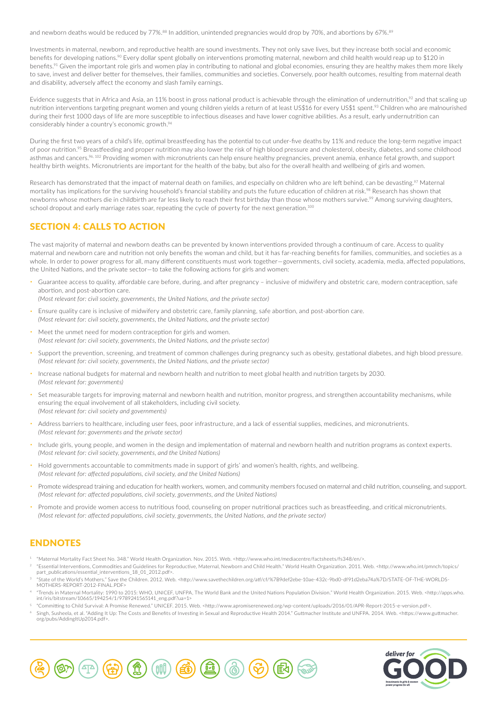and newborn deaths would be reduced by 77%.<sup>88</sup> In addition, unintended pregnancies would drop by 70%, and abortions by 67%.<sup>89</sup>

Investments in maternal, newborn, and reproductive health are sound investments. They not only save lives, but they increase both social and economic benefits for developing nations.<sup>90</sup> Every dollar spent globally on interventions promoting maternal, newborn and child health would reap up to \$120 in benefits.<sup>91</sup> Given the important role girls and women play in contributing to national and global economies, ensuring they are healthy makes them more likely to save, invest and deliver better for themselves, their families, communities and societies. Conversely, poor health outcomes, resulting from maternal death and disability, adversely affect the economy and slash family earnings.

Evidence suggests that in Africa and Asia, an 11% boost in gross national product is achievable through the elimination of undernutrition,<sup>92</sup> and that scaling up nutrition interventions targeting pregnant women and young children yields a return of at least US\$16 for every US\$1 spent.<sup>93</sup> Children who are malnourished during their first 1000 days of life are more susceptible to infectious diseases and have lower cognitive abilities. As a result, early undernutrition can considerably hinder a country's economic growth.<sup>94</sup>

During the first two years of a child's life, optimal breastfeeding has the potential to cut under-five deaths by 11% and reduce the long-term negative impact of poor nutrition.<sup>95</sup> Breastfeeding and proper nutrition may also lower the risk of high blood pressure and cholesterol, obesity, diabetes, and some childhood asthmas and cancers.<sup>96, 102</sup> Providing women with micronutrients can help ensure healthy pregnancies, prevent anemia, enhance fetal growth, and support healthy birth weights. Micronutrients are important for the health of the baby, but also for the overall health and wellbeing of girls and women.

Research has demonstrated that the impact of maternal death on families, and especially on children who are left behind, can be devasting.<sup>97</sup> Maternal mortality has implications for the surviving household's financial stability and puts the future education of children at risk.98 Research has shown that newborns whose mothers die in childbirth are far less likely to reach their first birthday than those whose mothers survive.<sup>99</sup> Among surviving daughters, school dropout and early marriage rates soar, repeating the cycle of poverty for the next generation.<sup>100</sup>

## SECTION 4: CALLS TO ACTION

The vast majority of maternal and newborn deaths can be prevented by known interventions provided through a continuum of care. Access to quality maternal and newborn care and nutrition not only benefits the woman and child, but it has far-reaching benefits for families, communities, and societies as a whole. In order to power progress for all, many different constituents must work together—governments, civil society, academia, media, affected populations, the United Nations, and the private sector—to take the following actions for girls and women:

• Guarantee access to quality, affordable care before, during, and after pregnancy – inclusive of midwifery and obstetric care, modern contraception, safe abortion, and post-abortion care.

*(Most relevant for: civil society, governments, the United Nations, and the private sector)*

- Ensure quality care is inclusive of midwifery and obstetric care, family planning, safe abortion, and post-abortion care. *(Most relevant for: civil society, governments, the United Nations, and the private sector)*
- Meet the unmet need for modern contraception for girls and women. *(Most relevant for: civil society, governments, the United Nations, and the private sector)*
- Support the prevention, screening, and treatment of common challenges during pregnancy such as obesity, gestational diabetes, and high blood pressure. *(Most relevant for: civil society, governments, the United Nations, and the private sector)*
- Increase national budgets for maternal and newborn health and nutrition to meet global health and nutrition targets by 2030. *(Most relevant for: governments)*
- Set measurable targets for improving maternal and newborn health and nutrition, monitor progress, and strengthen accountability mechanisms, while ensuring the equal involvement of all stakeholders, including civil society. *(Most relevant for: civil society and governments)*
- Address barriers to healthcare, including user fees, poor infrastructure, and a lack of essential supplies, medicines, and micronutrients. *(Most relevant for: governments and the private sector)*
- Include girls, young people, and women in the design and implementation of maternal and newborn health and nutrition programs as context experts. *(Most relevant for: civil society, governments, and the United Nations)*
- Hold governments accountable to commitments made in support of girls' and women's health, rights, and wellbeing. *(Most relevant for: affected populations, civil society, and the United Nations)*
- Promote widespread training and education for health workers, women, and community members focused on maternal and child nutrition, counseling, and support. *(Most relevant for: affected populations, civil society, governments, and the United Nations)*
- Promote and provide women access to nutritious food, counseling on proper nutritional practices such as breastfeeding, and critical micronutrients. *(Most relevant for: affected populations, civil society, governments, the United Nations, and the private sector)*

# ENDNOTES

- <sup>1</sup> "Maternal Mortality Fact Sheet No. 348." World Health Organization. Nov. 2015. Web. [<http://www.who.int/mediacentre/factsheets/fs348/en/](http://www.who.int/mediacentre/factsheets/fs348/en)>.
- <sup>2</sup>"Essential Interventions, Commodities and Guidelines for Reproductive, Maternal, Newborn and Child Health." World Health Organization. 2011. Web. [<http://www.who.int/pmnch/topics/](http://www.who.int/pmnch/topics/part_publications/essential_interventions_18_01_2012.pdf) [part\\_publications/essential\\_interventions\\_18\\_01\\_2012.pdf](http://www.who.int/pmnch/topics/part_publications/essential_interventions_18_01_2012.pdf)>
- <sup>3</sup> "State of the World's Mothers." Save the Children. 2012. Web. <<http://www.savethechildren.org/atf/cf>/%7B9def2ebe-10ae-432c-9bd0-df91d2eba74a%7D/[STATE-OF-THE-WORLDS-](http://STATE-OF-THE-WORLDS-MOTHERS-REPORT-2012-FINAL.PDF)[MOTHERS-REPORT-2012-FINAL.PDF>](http://STATE-OF-THE-WORLDS-MOTHERS-REPORT-2012-FINAL.PDF)
- <sup>4</sup>"Trends in Maternal Mortality: 1990 to 2015: WHO, UNICEF, UNFPA, The World Bank and the United Nations Population Division." World Health Organization. 2015. Web. [<http://apps.who.](http://apps.who.int/iris/bitstream/10665/194254/1/9789241565141_eng.pdf?ua=1) [int/iris/bitstream/10665/194254/1/9789241565141\\_eng.pdf?ua=1](http://apps.who.int/iris/bitstream/10665/194254/1/9789241565141_eng.pdf?ua=1)>
- <sup>5</sup> "Committing to Child Survival: A Promise Renewed." UNICEF. 2015. Web. [<http://www.apromiserenewed.org/wp-content/uploads/2016/01/APR-Report-2015-e-version.pdf](http://www.apromiserenewed.org/wp-content/uploads/2016/01/APR-Report-2015-e-version.pdf)>.
- <sup>6</sup>Singh, Susheela, et al. "Adding It Up: The Costs and Benefits of Investing in Sexual and Reproductive Health 2014." Guttmacher Institute and UNFPA. 2014. Web. [<https://www.guttmacher.](https://www.guttmacher.org/pubs/AddingItUp2014.pdf) [org/pubs/AddingItUp2014.pdf](https://www.guttmacher.org/pubs/AddingItUp2014.pdf)>.



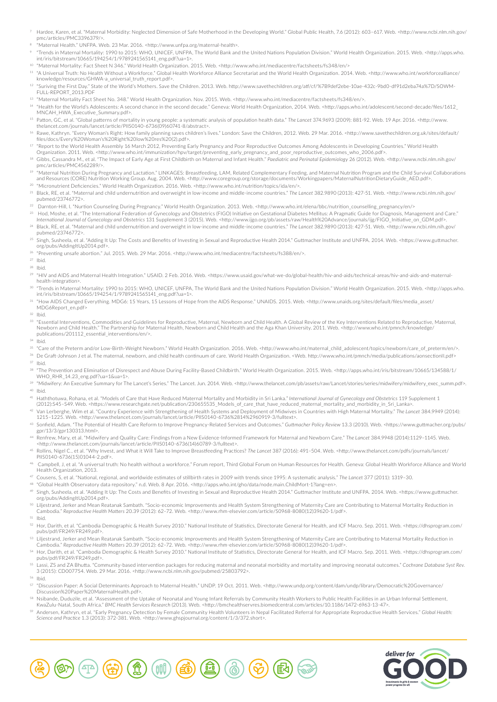- <sup>7</sup> Hardee, Karen, et al. "Maternal Morbidity: Neglected Dimension of Safe Motherhood in the Developing World." Global Public Health, 7.6 (2012): 603–617. Web. <[http://www.ncbi.nlm.nih.gov/](http://www.ncbi.nlm.nih.gov/pmc/articles/PMC3396379) [pmc/articles/PMC3396379/](http://www.ncbi.nlm.nih.gov/pmc/articles/PMC3396379)>.
- <sup>8</sup> "Maternal Health." UNFPA. Web. 23 Mar. 2016. <<http://www.unfpa.org/maternal>-health>.
- <sup>9</sup> "Trends in Maternal Mortality: 1990 to 2015: WHO, UNICEF, UNFPA, The World Bank and the United Nations Population Division." World Health Organization. 2015. Web. [<http://apps.who.](http://apps.who.int/iris/bitstream/10665/194254/1/9789241565141_eng.pdf?ua=1) [int/iris/bitstream/10665/194254/1/9789241565141\\_eng.pdf?ua=1](http://apps.who.int/iris/bitstream/10665/194254/1/9789241565141_eng.pdf?ua=1)>.
- <sup>10</sup> "Maternal Mortality: Fact Sheet N 346." World Health Organization. 2015. Web. [<http://www.who.int/mediacentre/factsheets/fs348/en](http://www.who.int/mediacentre/factsheets/fs348/en)/>

<sup>11</sup> "A Universal Truth: No Health Without a Workforce." Global Health Workforce Alliance Secretariat and the World Health Organization. 2014. Web. <[http://www.who.int/workforcealliance/](http://www.who.int/workforcealliance/knowledge/resources/GHWA-a_universal_truth_report.pdf) [knowledge/resources/GHWA-a\\_universal\\_truth\\_report.pdf>](http://www.who.int/workforcealliance/knowledge/resources/GHWA-a_universal_truth_report.pdf).

12 "Suriving the First Day." State of the World's Mothers. Save the Children. 2013. Web. [http://www.savethechildren.org/atf/cf/](http://www.savethechildren.org/atf/cf)%7B9def2ebe-10ae-432c-9bd0-df91d2eba74a%7D[/SOWM-](http://SOWM-FULL-REPORT_2013.PDF)[FULL-REPORT\\_2013.PDF](http://SOWM-FULL-REPORT_2013.PDF)

<sup>13</sup> "Maternal Mortality Fact Sheet No. 348." World Health Organization. Nov. 2015. Web. [<http://www.who.int/mediacentre/factsheets/fs348/en/](http://www.who.int/mediacentre/factsheets/fs348/en)>.

- 14 "Health for the World's Adolescents: A second chance in the second decade." Geneva: World Health Organization, 2014. Web. [<http://apps.who.int/adolescent/second-decade/files/1612\\_](http://apps.who.int/adolescent/second-decade/files/1612_MNCAH_HWA_Executive_Summary.pdf) [MNCAH\\_HWA\\_Executive\\_Summary.pdf>](http://apps.who.int/adolescent/second-decade/files/1612_MNCAH_HWA_Executive_Summary.pdf).
- <sup>15</sup> Patton, GC, et al. "Global patterns of mortality in young people: a systematic analysis of population health data." *The Lancet* 374.9693 (2009): 881-92. Web. 19 Apr. 2016. [<http://www.](http://www.thelancet.com/journals/lancet/article/PIIS0140) [thelancet.com/journals/lancet/article/PIIS0140](http://www.thelancet.com/journals/lancet/article/PIIS0140)-6736(09)60741-8/abstract>.
- 16 Rawe, Kathryn. "Every Woman's Right: How family planning saves children's lives." London: Save the Children, 2012. Web. 29 Mar. 2016. [<http://www.savethechildren.org.uk/sites/default/](http://www.savethechildren.org.uk/sites/default/files/docs/Every) [files/docs/Every%](http://www.savethechildren.org.uk/sites/default/files/docs/Every)20Woman's%20Right%20low%20res%20(2).pdf>.
- <sup>17</sup> "Report to the World Health Assembly 16 March 2012, Preventing Early Pregnancy and Poor Reproductive Outcomes Among Adolescents in Developing Countries." World Health
- Organization. 2011. Web. [<http://www.who.int/immunization/hpv/target/preventing\\_early\\_pregnancy\\_and\\_poor\\_reproductive\\_outcomes\\_who\\_2006.pdf>](http://www.who.int/immunization/hpv/target/preventing_early_pregnancy_and_poor_reproductive_outcomes_who_2006.pdf).
- <sup>18</sup> Gibbs, Cassandra M., et al. "The Impact of Early Age at First Childbirth on Maternal and Infant Health." *Paediatric and Perinatal Epidemiology* 26 (2012). Web. <[http://www.ncbi.nlm.nih.gov/](http://www.ncbi.nlm.nih.gov/pmc/articles/PMC4562289) [pmc/articles/PMC4562289/](http://www.ncbi.nlm.nih.gov/pmc/articles/PMC4562289)>.
- <sup>19</sup> "Maternal Nutrition During Pregnancy and Lactation." LINKAGES: Breastfeeding, LAM, Related Complementary Feeding, and Maternal Nutrition Program and the Child Survival Collaborations and Resources (CORE) Nutrition Working Group. Aug. 2004. Web. <[http://www.coregroup.org/storage/documents/Workingpapers/MaternalNutritionDietaryGuide\\_AED.pdf>](http://www.coregroup.org/storage/documents/Workingpapers/MaternalNutritionDietaryGuide_AED.pdf). <sup>20</sup> "Micronutrient Deficiencies." World Health Organization. 2016. Web. [<http://www.who.int/nutrition/topics/ida/en](http://www.who.int/nutrition/topics/ida/en)/>.
- <sup>21</sup>Black, RE, et al. "Maternal and child undernutrition and overweight in low-income and middle-income countries." *The Lancet* 382.9890 (2013): 427-51. Web. <[http://www.ncbi.nlm.nih.gov/](http://www.ncbi.nlm.nih.gov/pubmed/23746772) [pubmed/23746772](http://www.ncbi.nlm.nih.gov/pubmed/23746772)>.
- <sup>22</sup>Darnton-Hill, I. "Nurtion Counseling During Pregnancy." World Health Organization. 2013. Web. [<http://www.who.int/elena/bbc/nutrition\\_counselling\\_pregnancy/en/](http://www.who.int/elena/bbc/nutrition_counselling_pregnancy/en)>
- a Hod, Moshe, et al. "The International Federation of Gynecology and Obstetrics (FIGO) Initiative on Gestational Diabetes Mellitus: A Pragmatic Guide for Diagnosis, Management and Care."<br>∴lnternational Journal of Gynecol
- <sup>24</sup>Black, RE, et al. "Maternal and child undernutrition and overweight in low-income and middle-income countries." *The Lancet* 382.9890 (2013): 427-51. Web. <[http://www.ncbi.nlm.nih.gov/](http://www.ncbi.nlm.nih.gov/pubmed/23746772) [pubmed/23746772](http://www.ncbi.nlm.nih.gov/pubmed/23746772)>.
- <sup>25</sup> Singh, Susheela, et al. "Adding It Up: The Costs and Benefits of Investing in Sexual and Reproductive Health 2014." Guttmacher Institute and UNFPA. 2014. Web. [<https://www.guttmacher.](https://www.guttmacher.org/pubs/AddingItUp2014.pdf) [org/pubs/AddingItUp2014.pdf](https://www.guttmacher.org/pubs/AddingItUp2014.pdf)>.
- <sup>26</sup>"Preventing unsafe abortion." Jul. 2015. Web. 29 Mar. 2016. <[http://www.who.int/mediacentre/factsheets/fs388/en/](http://www.who.int/mediacentre/factsheets/fs388/en)>.
- <sup>27</sup> Ibid.
- <sup>28</sup> Ibid.
- <sup>29</sup> "HIV and AIDS and Maternal Health Integration." USAID. 2 Feb. 2016. Web. [<https://www.usaid.gov/what-we-do/global-health/hiv-and-aids/technical-areas/hiv-](https://www.usaid.gov/what-we-do/global-health/hiv-and-aids/technical-areas/hiv)and-aids-and-maternalhealth-integration>.
- <sup>30</sup> "Trends in Maternal Mortality: 1990 to 2015: WHO, UNICEF, UNFPA, The World Bank and the United Nations Population Division." World Health Organization. 2015. Web. [<http://apps.who.](http://apps.who.int/iris/bitstream/10665/194254/1/9789241565141_eng.pdf?ua=1) [int/iris/bitstream/10665/194254/1/9789241565141\\_eng.pdf?ua=1](http://apps.who.int/iris/bitstream/10665/194254/1/9789241565141_eng.pdf?ua=1)>.
- <sup>31</sup> "How AIDS Changed Everything. MDG6: 15 Years, 15 Lessons of Hope from the AIDS Response." UNAIDS. 2015. Web. <[http://www.unaids.org/sites/default/files/media\\_asset/](http://www.unaids.org/sites/default/files/media_asset/MDG6Report_en.pdf) [MDG6Report\\_en.pdf](http://www.unaids.org/sites/default/files/media_asset/MDG6Report_en.pdf)>
- <sup>32</sup> Ibid.
- <sup>33</sup> "Essential Interventions, Commodities and Guidelines for Reproductive, Maternal, Newborn and Child Health. A Global Review of the Key Interventions Related to Reproductive, Maternal, Newborn and Child Health." The Partnership for Maternal Health, Newborn and Child Health and the Aga Khan University. 2011. Web. <[http://www.who.int/pmnch/knowledge/](http://www.who.int/pmnch/knowledge/publications/201112_essential_interventions/en) [publications/201112\\_essential\\_interventions/en](http://www.who.int/pmnch/knowledge/publications/201112_essential_interventions/en)/>.
- <sup>34</sup> Ibid.
- <sup>35</sup> "Care of the Preterm and/or Low-Birth-Weight Newborn." World Health Organization. 2016. Web. [<http://www.who.int/maternal\\_child\\_adolescent/topics/newborn/care\\_of\\_preterm/en](http://www.who.int/maternal_child_adolescent/topics/newborn/care_of_preterm/en)/>. <sup>36</sup> De Graft-Johnson J et al. The maternal, newborn, and child health continuum of care. World Health Organization. <Web. <http://www.who.int/pmnch/media/publications/aonsectionII.pdf>> <sup>37</sup> Ibid.
- <sup>38</sup> "The Prevention and Elimination of Disrespect and Abuse During Facility-Based Childbirth." World Health Organization. 2015. Web. [<http://apps.who.int/iris/bitstream/10665/134588/1/](http://apps.who.int/iris/bitstream/10665/134588/1/WHO_RHR_14.23_eng.pdf?ua=1&ua=1) [WHO\\_RHR\\_14.23\\_eng.pdf?ua=1&ua=1>](http://apps.who.int/iris/bitstream/10665/134588/1/WHO_RHR_14.23_eng.pdf?ua=1&ua=1).
- <sup>39</sup> "Midwifery: An Executive Summary for The Lancet's Series." The Lancet. Jun. 2014. Web. [<http://www.thelancet.com/pb/assets/raw/Lancet/stories/series/midwifery/midwifery\\_exec\\_summ.pdf](http://www.thelancet.com/pb/assets/raw/Lancet/stories/series/midwifery/midwifery_exec_summ.pdf)>.  $40$  Ibid.<br> $41$  Hath
- <sup>41</sup>Haththotuwa, Rohana, et al. "Models of Care that Have Reduced Maternal Mortality and Morbidity in Sri Lanka." *International Journal of Gynecology and Obstetrics* 119 Supplement 1 (2012):S45–S49. Web. [<https://www.researchgate.net/publication/230655535\\_Models\\_of\\_care\\_that\\_have\\_reduced\\_maternal\\_mortality\\_and\\_morbidity\\_in\\_Sri\\_Lanka>](https://www.researchgate.net/publication/230655535_Models_of_care_that_have_reduced_maternal_mortality_and_morbidity_in_Sri_Lanka).
- <sup>42</sup>Van Lerberghe, Wim et al. "Country Experience with Strengthening of Health Systems and Deployment of Midwives in Countries with High Maternal Mortality." *The Lancet* 384.9949 (2014): 1215–1225. Web. <<http://www.thelancet.com/journals/lancet/article/PIIS0140>-6736%2814%2960919-3/fulltext>.
- <sup>43</sup> Sonfield, Adam. "The Potential of Health Care Reform to Improve Pregnancy-Related Services and Outcomes." *Guttmacher Policy Review* 13.3 (2010). Web. [<https://www.guttmacher.org/pubs/](https://www.guttmacher.org/pubs/gpr/13/3/gpr130313.html) [gpr/13/3/gpr130313.html](https://www.guttmacher.org/pubs/gpr/13/3/gpr130313.html)>.
- <sup>44</sup>Renfrew, Mary, et al. "Midwifery and Quality Care: Findings from a New Evidence-Informed Framework for Maternal and Newborn Care." *The Lancet* 384.9948 (2014):1129–1145. Web. [<http://www.thelancet.com/journals/lancet/article/PIIS0140-](http://www.thelancet.com/journals/lancet/article/PIIS0140)6736(14)60789-3/fulltext>.
- <sup>45</sup> Rollins, Nigel C., et al. "Why Invest, and What it Will Take to Improve Breastfeeding Practices? *The Lancet* 387 (2016): 491–504. Web. [<http://www.thelancet.com/pdfs/journals/lancet/](http://www.thelancet.com/pdfs/journals/lancet/PIIS0140) [PIIS0140-](http://www.thelancet.com/pdfs/journals/lancet/PIIS0140)6736(15)[01044-2.pdf](http://01044-2.pdf)>
- <sup>46</sup>Campbell, J, et al. "A universal truth: No health without a workforce." Forum report, Third Global Forum on Human Resources for Health. Geneva: Global Health Workforce Alliance and World Health Organization, 2013.
- <sup>47</sup> Cousens, S, et al. "National, regional, and worldwide estimates of stillbirth rates in 2009 with trends since 1995: A systematic analysis." *The Lancet* 377 (2011): 1319–30.
- <sup>48</sup> "Global Health Observatory data repository." n.d. Web. 8 Apr. 2016. <[http://apps.who.int/gho/data/node.main.ChildMort-](http://apps.who.int/gho/data/node.main.ChildMort)1?lang=en>.
- <sup>49</sup> Singh, Susheela, et al. "Adding It Up: The Costs and Benefits of Investing in Sexual and Reproductive Health 2014." Guttmacher Institute and UNFPA. 2014. Web. [<https://www.guttmacher.](https://www.guttmacher.org/pubs/AddingItUp2014.pdf) [org/pubs/AddingItUp2014.pdf](https://www.guttmacher.org/pubs/AddingItUp2014.pdf)>.
- 50 Liljestrand, Jerker and Mean Reatanak Sambath. "Socio-economic Improvements and Health System Strengthening of Maternity Care are Contributing to Maternal Mortality Reduction in Cambodia." *Reproductive Health Matters* 20.39 (2012): 62–72. Web. <<http://www.rhm-elsevier.com/article/S0968>-8080(12)39620-1/pdf>. <sup>51</sup> Ibid.
- <sup>52</sup> Hor, Darith, et al. "Cambodia Demographic & Health Survey 2010." National Institute of Statistics, Directorate General for Health, and ICF Macro. Sep. 2011. Web. [<https://dhsprogram.com/](https://dhsprogram.com/pubs/pdf/FR249/FR249.pdf) [pubs/pdf/FR249/FR249.pdf](https://dhsprogram.com/pubs/pdf/FR249/FR249.pdf)>.
- 53 Liliestrand. Jerker and Mean Reatanak Sambath. "Socio-economic Improvements and Health System Strengthening of Maternity Care are Contributing to Maternal Mortality Reduction in Cambodia." *Reproductive Health Matters* 20.39 (2012): 62–72. Web. [<http://www.rhm-elsevier.com/article/S0968-](http://www.rhm-elsevier.com/article/S0968)8080(12)39620-1/pdf>.
- 54 Hor, Darith, et al. "Cambodia Demographic & Health Survey 2010." National Institute of Statistics, Directorate General for Health, and ICF Macro. Sep. 2011. Web. [<https://dhsprogram.com/](https://dhsprogram.com/pubs/pdf/FR249/FR249.pdf) [pubs/pdf/FR249/FR249.pdf](https://dhsprogram.com/pubs/pdf/FR249/FR249.pdf)>.
- <sup>55</sup> Lassi, ZS and ZA Bhutta. "Community-based intervention packages for reducing maternal and neonatal morbidity and mortality and improving neonatal outcomes." *Cochrane Database Syst Rev.*  3 (2015): CD007754. Web. 29 Mar. 2016. [<http://www.ncbi.nlm.nih.gov/pubmed/25803792>](http://www.ncbi.nlm.nih.gov/pubmed/25803792).
- <sup>56</sup> Ibid.
- <sup>57</sup> "Discussion Paper: A Social Determinants Approach to Maternal Health." UNDP. 19 Oct. 2011. Web. <[http://www.undp.org/content/dam/undp/library/Democratic%](http://www.undp.org/content/dam/undp/library/Democratic)20Governance/ Discussion%20Paper[%20MaternalHealth.pdf>](http://20MaternalHealth.pdf).
- <sup>58</sup> Nsibande, Duduzile, et al. "Assessment of the Uptake of Neonatal and Young Infant Referrals by Community Health Workers to Public Health Facilities in an Urban Informal Settlement, KwaZulu-Natal, South Africa." *BMC Health Services Research* (2013). Web. [<http://bmchealthservres.biomedcentral.com/articles/10.1186/1472](http://bmchealthservres.biomedcentral.com/articles/10.1186/1472)-6963-13-47>.
- <sup>59</sup> Andersen, Kathryn, et al. "Early Pregnancy Detection by Female Community Health Volunteers in Nepal Facilitated Referral for Appropriate Reproductive Health Services." *Global Health: Science and Practice* 1.3 (2013): 372-381. Web. [<http://www.ghspjournal.org/content/1/3/372.short](http://www.ghspjournal.org/content/1/3/372.short)>.